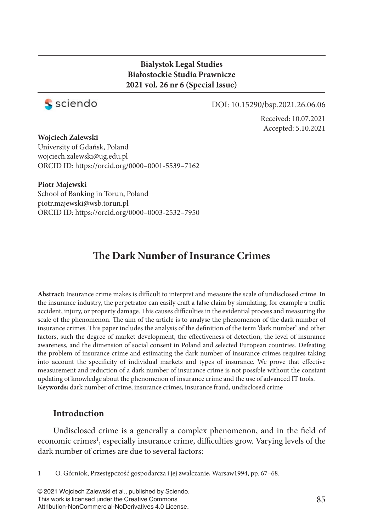### **Bialystok Legal Studies Białostockie Studia Prawnicze 2021 vol. 26 nr 6 (Special Issue)**



#### DOI: 10.15290/bsp.2021.26.06.06

Received: 10.07.2021 Accepted: 5.10.2021

**Wojciech Zalewski**

University of Gdańsk, Poland wojciech.zalewski@ug.edu.pl ORCID ID: https://orcid.org/0000–0001-5539–7162

#### **Piotr Majewski**

School of Banking in Torun, Poland piotr.majewski@wsb.torun.pl ORCID ID: https://orcid.org/0000–0003-2532–7950

# **The Dark Number of Insurance Crimes**

Abstract: Insurance crime makes is difficult to interpret and measure the scale of undisclosed crime. In the insurance industry, the perpetrator can easily craft a false claim by simulating, for example a traffic accident, injury, or property damage. This causes difficulties in the evidential process and measuring the scale of the phenomenon. The aim of the article is to analyse the phenomenon of the dark number of insurance crimes. This paper includes the analysis of the definition of the term 'dark number' and other factors, such the degree of market development, the effectiveness of detection, the level of insurance awareness, and the dimension of social consent in Poland and selected European countries. Defeating the problem of insurance crime and estimating the dark number of insurance crimes requires taking into account the specificity of individual markets and types of insurance. We prove that effective measurement and reduction of a dark number of insurance crime is not possible without the constant updating of knowledge about the phenomenon of insurance crime and the use of advanced IT tools. **Keywords:** dark number of crime, insurance crimes, insurance fraud, undisclosed crime

#### **Introduction**

Undisclosed crime is a generally a complex phenomenon, and in the field of economic crimes<sup>1</sup>, especially insurance crime, difficulties grow. Varying levels of the dark number of crimes are due to several factors:

<sup>1</sup> O. Górniok, Przestępczość gospodarcza i jej zwalczanie, Warsaw1994, pp. 67–68.

<sup>© 2021</sup> Wojciech Zalewski et al., published by Sciendo. This work is licensed under the Creative Commons Attribution-NonCommercial-NoDerivatives 4.0 License.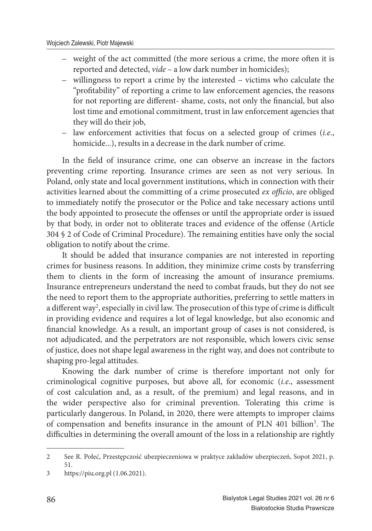- weight of the act committed (the more serious a crime, the more often it is reported and detected, *vide* – a low dark number in homicides);
- willingness to report a crime by the interested victims who calculate the "profitability" of reporting a crime to law enforcement agencies, the reasons for not reporting are different- shame, costs, not only the financial, but also lost time and emotional commitment, trust in law enforcement agencies that they will do their job,
- law enforcement activities that focus on a selected group of crimes (*i.e*., homicide...), results in a decrease in the dark number of crime.

In the field of insurance crime, one can observe an increase in the factors preventing crime reporting. Insurance crimes are seen as not very serious. In Poland, only state and local government institutions, which in connection with their activities learned about the committing of a crime prosecuted *ex officio*, are obliged to immediately notify the prosecutor or the Police and take necessary actions until the body appointed to prosecute the offenses or until the appropriate order is issued by that body, in order not to obliterate traces and evidence of the offense (Article 304 § 2 of Code of Criminal Procedure). The remaining entities have only the social obligation to notify about the crime.

It should be added that insurance companies are not interested in reporting crimes for business reasons. In addition, they minimize crime costs by transferring them to clients in the form of increasing the amount of insurance premiums. Insurance entrepreneurs understand the need to combat frauds, but they do not see the need to report them to the appropriate authorities, preferring to settle matters in a different way<sup>2</sup>, especially in civil law. The prosecution of this type of crime is difficult in providing evidence and requires a lot of legal knowledge, but also economic and financial knowledge. As a result, an important group of cases is not considered, is not adjudicated, and the perpetrators are not responsible, which lowers civic sense of justice, does not shape legal awareness in the right way, and does not contribute to shaping pro-legal attitudes.

Knowing the dark number of crime is therefore important not only for criminological cognitive purposes, but above all, for economic (*i.e*., assessment of cost calculation and, as a result, of the premium) and legal reasons, and in the wider perspective also for criminal prevention. Tolerating this crime is particularly dangerous. In Poland, in 2020, there were attempts to improper claims of compensation and benefits insurance in the amount of PLN 401 billion<sup>3</sup>. The difficulties in determining the overall amount of the loss in a relationship are rightly

<sup>2</sup> See R. Połeć, Przestępczość ubezpieczeniowa w praktyce zakładów ubezpieczeń, Sopot 2021, p. 51.

<sup>3</sup> https://piu.org.pl (1.06.2021).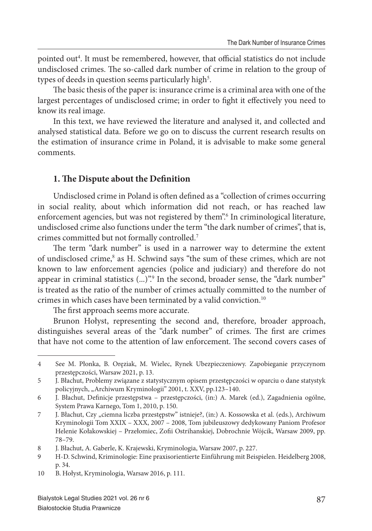pointed out<sup>4</sup>. It must be remembered, however, that official statistics do not include undisclosed crimes. The so-called dark number of crime in relation to the group of types of deeds in question seems particularly high<sup>5</sup>.

The basic thesis of the paper is: insurance crime is a criminal area with one of the largest percentages of undisclosed crime; in order to fight it effectively you need to know its real image.

In this text, we have reviewed the literature and analysed it, and collected and analysed statistical data. Before we go on to discuss the current research results on the estimation of insurance crime in Poland, it is advisable to make some general comments.

#### **1. The Dispute about the Definition**

Undisclosed crime in Poland is often defined as a "collection of crimes occurring in social reality, about which information did not reach, or has reached law enforcement agencies, but was not registered by them".<sup>6</sup> In criminological literature, undisclosed crime also functions under the term "the dark number of crimes", that is, crimes committed but not formally controlled.<sup>7</sup>

The term "dark number" is used in a narrower way to determine the extent of undisclosed crime,<sup>8</sup> as H. Schwind says "the sum of these crimes, which are not known to law enforcement agencies (police and judiciary) and therefore do not appear in criminal statistics (...)".<sup>9</sup> In the second, broader sense, the "dark number" is treated as the ratio of the number of crimes actually committed to the number of crimes in which cases have been terminated by a valid conviction.<sup>10</sup>

The first approach seems more accurate.

Brunon Hołyst, representing the second and, therefore, broader approach, distinguishes several areas of the "dark number" of crimes. The first are crimes that have not come to the attention of law enforcement. The second covers cases of

<sup>4</sup> See M. Płonka, B. Oręziak, M. Wielec, Rynek Ubezpieczeniowy. Zapobieganie przyczynom przestępczości, Warsaw 2021, p. 13.

<sup>5</sup> J. Błachut, Problemy związane z statystycznym opisem przestępczości w oparciu o dane statystyk policyjnych, "Archiwum Kryminologii" 2001, t. XXV, pp.123–140.

<sup>6</sup> J. Błachut, Definicje przestępstwa – przestępczości, (in:) A. Marek (ed.), Zagadnienia ogólne, System Prawa Karnego, Tom 1, 2010, p. 150.

<sup>7</sup> J. Błachut, Czy "ciemna liczba przestępstw" istnieje?, (in:) A. Kossowska et al. (eds.), Archiwum Kryminologii Tom XXIX – XXX, 2007 – 2008, Tom jubileuszowy dedykowany Paniom Profesor Helenie Kołakowskiej – Przełomiec, Zofii Ostrihanskiej, Dobrochnie Wójcik, Warsaw 2009, pp. 78–79.

<sup>8</sup> J. Błachut, A. Gaberle, K. Krajewski, Kryminologia, Warsaw 2007, p. 227.

<sup>9</sup> H-D. Schwind, Kriminologie: Eine praxisorientierte Einführung mit Beispielen. Heidelberg 2008, p. 34.

<sup>10</sup> B. Hołyst, Kryminologia, Warsaw 2016, p. 111.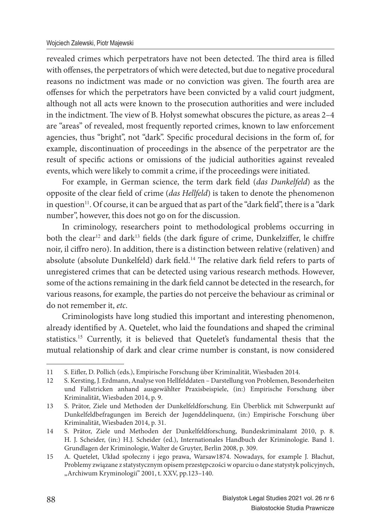#### Wojciech Zalewski, Piotr Majewski

revealed crimes which perpetrators have not been detected. The third area is filled with offenses, the perpetrators of which were detected, but due to negative procedural reasons no indictment was made or no conviction was given. The fourth area are offenses for which the perpetrators have been convicted by a valid court judgment, although not all acts were known to the prosecution authorities and were included in the indictment. The view of B. Hołyst somewhat obscures the picture, as areas  $2-4$ are "areas" of revealed, most frequently reported crimes, known to law enforcement agencies, thus "bright", not "dark". Specific procedural decisions in the form of, for example, discontinuation of proceedings in the absence of the perpetrator are the result of specific actions or omissions of the judicial authorities against revealed events, which were likely to commit a crime, if the proceedings were initiated.

For example, in German science, the term dark field (*das Dunkelfeld*) as the opposite of the clear field of crime (*das Hellfeld*) is taken to denote the phenomenon in question<sup>11</sup>. Of course, it can be argued that as part of the "dark field", there is a "dark number", however, this does not go on for the discussion.

In criminology, researchers point to methodological problems occurring in both the clear<sup>12</sup> and dark<sup>13</sup> fields (the dark figure of crime, Dunkelziffer, le chiffre noir, il ciffro nero). In addition, there is a distinction between relative (relativen) and absolute (absolute Dunkelfeld) dark field.<sup>14</sup> The relative dark field refers to parts of unregistered crimes that can be detected using various research methods. However, some of the actions remaining in the dark field cannot be detected in the research, for various reasons, for example, the parties do not perceive the behaviour as criminal or do not remember it, *etc*.

Criminologists have long studied this important and interesting phenomenon, already identified by A. Quetelet, who laid the foundations and shaped the criminal statistics.<sup>15</sup> Currently, it is believed that Quetelet's fundamental thesis that the mutual relationship of dark and clear crime number is constant, is now considered

<sup>11</sup> S. Eifler, D. Pollich (eds.), Empirische Forschung über Kriminalität, Wiesbaden 2014.

<sup>12</sup> S. Kersting, J. Erdmann, Analyse von Hellfelddaten – Darstellung von Problemen, Besonderheiten und Fallstricken anhand ausgewählter Praxisbeispiele, (in:) Empirische Forschung über Kriminalität, Wiesbaden 2014, p. 9.

<sup>13</sup> S. Prätor, Ziele und Methoden der Dunkelfeldforschung. Ein Überblick mit Schwerpunkt auf Dunkelfeldbefragungen im Bereich der Jugenddelinquenz, (in:) Empirische Forschung über Kriminalität, Wiesbaden 2014, p. 31.

<sup>14</sup> S. Prätor, Ziele und Methoden der Dunkelfeldforschung, Bundeskriminalamt 2010, p. 8. H. J. Scheider, (in:) H.J. Scheider (ed.), Internationales Handbuch der Kriminologie. Band 1. Grundlagen der Kriminologie, Walter de Gruyter, Berlin 2008, p. 309.

<sup>15</sup> A. Quetelet, Układ społeczny i jego prawa, Warsaw1874. Nowadays, for example J. Błachut, Problemy związane z statystycznym opisem przestępczości w oparciu o dane statystyk policyjnych, "Archiwum Kryminologii" 2001, t. XXV, pp.123-140.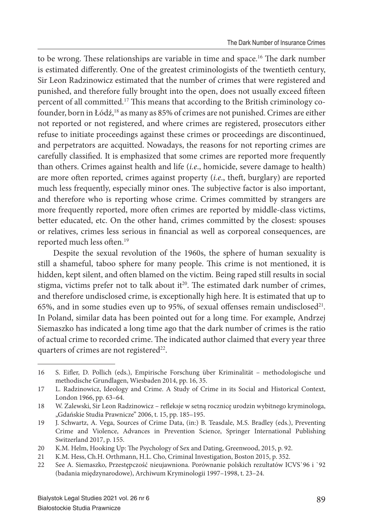to be wrong. These relationships are variable in time and space.<sup>16</sup> The dark number is estimated differently. One of the greatest criminologists of the twentieth century, Sir Leon Radzinowicz estimated that the number of crimes that were registered and punished, and therefore fully brought into the open, does not usually exceed fifteen percent of all committed.<sup>17</sup> This means that according to the British criminology cofounder, born in Łódź,<sup>18</sup> as many as 85% of crimes are not punished. Crimes are either not reported or not registered, and where crimes are registered, prosecutors either refuse to initiate proceedings against these crimes or proceedings are discontinued, and perpetrators are acquitted. Nowadays, the reasons for not reporting crimes are carefully classified. It is emphasized that some crimes are reported more frequently than others. Crimes against health and life (*i.e*., homicide, severe damage to health) are more often reported, crimes against property (*i.e.*, theft, burglary) are reported much less frequently, especially minor ones. The subjective factor is also important, and therefore who is reporting whose crime. Crimes committed by strangers are more frequently reported, more often crimes are reported by middle-class victims, better educated, etc. On the other hand, crimes committed by the closest: spouses or relatives, crimes less serious in financial as well as corporeal consequences, are reported much less often.<sup>19</sup>

Despite the sexual revolution of the 1960s, the sphere of human sexuality is still a shameful, taboo sphere for many people. This crime is not mentioned, it is hidden, kept silent, and often blamed on the victim. Being raped still results in social stigma, victims prefer not to talk about it $2^0$ . The estimated dark number of crimes, and therefore undisclosed crime, is exceptionally high here. It is estimated that up to 65%, and in some studies even up to 95%, of sexual offenses remain undisclosed $21$ . In Poland, similar data has been pointed out for a long time. For example, Andrzej Siemaszko has indicated a long time ago that the dark number of crimes is the ratio of actual crime to recorded crime. The indicated author claimed that every year three quarters of crimes are not registered<sup>22</sup>.

<sup>16</sup> S. Eifler, D. Pollich (eds.), Empirische Forschung über Kriminalität – methodologische und methodische Grundlagen, Wiesbaden 2014, pp. 16, 35.

<sup>17</sup> L. Radzinowicz, Ideology and Crime. A Study of Crime in its Social and Historical Context, London 1966, pp. 63–64.

<sup>18</sup> W. Zalewski, Sir Leon Radzinowicz – refleksje w setną rocznicę urodzin wybitnego kryminologa, "Gdańskie Studia Prawnicze" 2006, t. 15, pp. 185-195.

<sup>19</sup> J. Schwartz, A. Vega, Sources of Crime Data, (in:) B. Teasdale, M.S. Bradley (eds.), Preventing Crime and Violence, Advances in Prevention Science, Springer International Publishing Switzerland 2017, p. 155.

<sup>20</sup> K.M. Helm, Hooking Up: The Psychology of Sex and Dating, Greenwood, 2015, p. 92.

<sup>21</sup> K.M. Hess, Ch.H. Orthmann, H.L. Cho, Criminal Investigation, Boston 2015, p. 352.

<sup>22</sup> See A. Siemaszko, Przestępczość nieujawniona. Porównanie polskich rezultatów ICVS`96 i `92 (badania międzynarodowe), Archiwum Kryminologii 1997–1998, t. 23–24.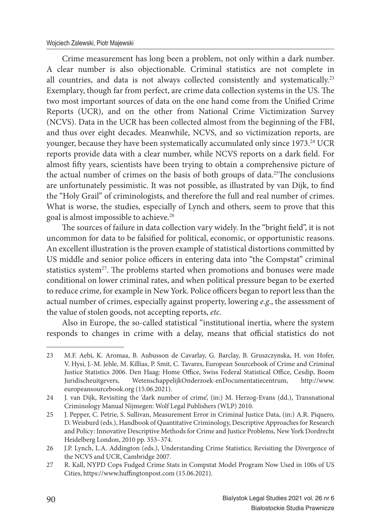Crime measurement has long been a problem, not only within a dark number. A clear number is also objectionable. Criminal statistics are not complete in all countries, and data is not always collected consistently and systematically.<sup>23</sup> Exemplary, though far from perfect, are crime data collection systems in the US. The two most important sources of data on the one hand come from the Unified Crime Reports (UCR), and on the other from National Crime Victimization Survey (NCVS). Data in the UCR has been collected almost from the beginning of the FBI, and thus over eight decades. Meanwhile, NCVS, and so victimization reports, are younger, because they have been systematically accumulated only since 1973.<sup>24</sup> UCR reports provide data with a clear number, while NCVS reports on a dark field. For almost fifty years, scientists have been trying to obtain a comprehensive picture of the actual number of crimes on the basis of both groups of data.<sup>25</sup>The conclusions are unfortunately pessimistic. It was not possible, as illustrated by van Dijk, to find the "Holy Grail" of criminologists, and therefore the full and real number of crimes. What is worse, the studies, especially of Lynch and others, seem to prove that this goal is almost impossible to achieve.<sup>26</sup>

The sources of failure in data collection vary widely. In the "bright field", it is not uncommon for data to be falsified for political, economic, or opportunistic reasons. An excellent illustration is the proven example of statistical distortions committed by US middle and senior police officers in entering data into "the Compstat" criminal statistics system<sup>27</sup>. The problems started when promotions and bonuses were made conditional on lower criminal rates, and when political pressure began to be exerted to reduce crime, for example in New York. Police officers began to report less than the actual number of crimes, especially against property, lowering *e.g*., the assessment of the value of stolen goods, not accepting reports, *etc*.

Also in Europe, the so-called statistical "institutional inertia, where the system responds to changes in crime with a delay, means that official statistics do not

<sup>23</sup> M.F. Aebi, K. Aromaa, B. Aubusson de Cavarlay, G. Barclay, B. Gruszczynska, H. von Hofer, V. Hysi, J.-M. Jehle, M. Killias, P. Smit, C. Tavares, European Sourcebook of Crime and Criminal Justice Statistics 2006. Den Haag: Home Office, Swiss Federal Statistical Office, Cesdip, Boom Juridischeuitgevers, WetenschappelijkOnderzoek-enDocumentatiecentrum, http://www. europeansourcebook.org (15.06.2021).

<sup>24</sup> J. van Dijk, Revisiting the 'dark number of crime', (in:) M. Herzog-Evans (dd.), Transnational Criminology Manual Nijmegen: Wolf Legal Publishers (WLP) 2010.

<sup>25</sup> J. Pepper, C. Petrie, S. Sullivan, Measurement Error in Criminal Justice Data, (in:) A.R. Piquero, D. Weisburd (eds.), Handbook of Quantitative Criminology, Descriptive Approaches for Research and Policy: Innovative Descriptive Methods for Crime and Justice Problems, New York Dordrecht Heidelberg London, 2010 pp. 353–374.

<sup>26</sup> J.P. Lynch, L.A. Addington (eds.), Understanding Crime Statistics; Revisiting the Divergence of the NCVS and UCR, Cambridge 2007.

<sup>27</sup> R. Kall, NYPD Cops Fudged Crime Stats in Compstat Model Program Now Used in 100s of US Cities, https://www.huffingtonpost.com (15.06.2021).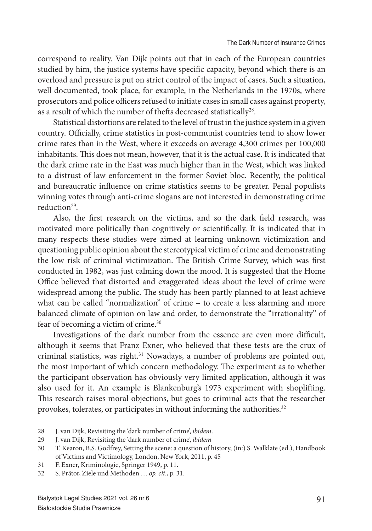correspond to reality. Van Dijk points out that in each of the European countries studied by him, the justice systems have specific capacity, beyond which there is an overload and pressure is put on strict control of the impact of cases. Such a situation, well documented, took place, for example, in the Netherlands in the 1970s, where prosecutors and police officers refused to initiate cases in small cases against property, as a result of which the number of thefts decreased statistically<sup>28</sup>.

Statistical distortions are related to the level of trust in the justice system in a given country. Officially, crime statistics in post-communist countries tend to show lower crime rates than in the West, where it exceeds on average 4,300 crimes per 100,000 inhabitants. This does not mean, however, that it is the actual case. It is indicated that the dark crime rate in the East was much higher than in the West, which was linked to a distrust of law enforcement in the former Soviet bloc. Recently, the political and bureaucratic influence on crime statistics seems to be greater. Penal populists winning votes through anti-crime slogans are not interested in demonstrating crime reduction<sup>29</sup>.

Also, the first research on the victims, and so the dark field research, was motivated more politically than cognitively or scientifically. It is indicated that in many respects these studies were aimed at learning unknown victimization and questioning public opinion about the stereotypical victim of crime and demonstrating the low risk of criminal victimization. The British Crime Survey, which was first conducted in 1982, was just calming down the mood. It is suggested that the Home Office believed that distorted and exaggerated ideas about the level of crime were widespread among the public. The study has been partly planned to at least achieve what can be called "normalization" of crime - to create a less alarming and more balanced climate of opinion on law and order, to demonstrate the "irrationality" of fear of becoming a victim of crime.<sup>30</sup>

Investigations of the dark number from the essence are even more difficult, although it seems that Franz Exner, who believed that these tests are the crux of criminal statistics, was right.<sup>31</sup> Nowadays, a number of problems are pointed out, the most important of which concern methodology. The experiment as to whether the participant observation has obviously very limited application, although it was also used for it. An example is Blankenburg's 1973 experiment with shoplifting. This research raises moral objections, but goes to criminal acts that the researcher provokes, tolerates, or participates in without informing the authorities.<sup>32</sup>

<sup>28</sup> J. van Dijk, Revisiting the 'dark number of crime', *ibidem*.

<sup>29</sup> J. van Dijk, Revisiting the 'dark number of crime', *ibidem*

<sup>30</sup> T. Kearon, B.S. Godfrey, Setting the scene: a question of history, (in:) S. Walklate (ed.), Handbook of Victims and Victimology, London, New York, 2011, p. 45

<sup>31</sup> F. Exner, Kriminologie, Springer 1949, p. 11.

<sup>32</sup> S. Prätor, Ziele und Methoden … *op. cit*., p. 31.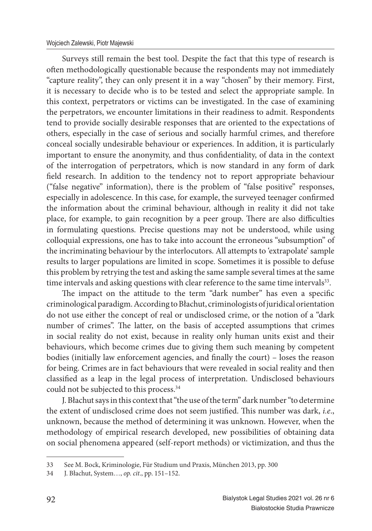Surveys still remain the best tool. Despite the fact that this type of research is often methodologically questionable because the respondents may not immediately "capture reality", they can only present it in a way "chosen" by their memory. First, it is necessary to decide who is to be tested and select the appropriate sample. In this context, perpetrators or victims can be investigated. In the case of examining the perpetrators, we encounter limitations in their readiness to admit. Respondents tend to provide socially desirable responses that are oriented to the expectations of others, especially in the case of serious and socially harmful crimes, and therefore conceal socially undesirable behaviour or experiences. In addition, it is particularly important to ensure the anonymity, and thus confidentiality, of data in the context of the interrogation of perpetrators, which is now standard in any form of dark field research. In addition to the tendency not to report appropriate behaviour ("false negative" information), there is the problem of "false positive" responses, especially in adolescence. In this case, for example, the surveyed teenager confirmed the information about the criminal behaviour, although in reality it did not take place, for example, to gain recognition by a peer group. There are also difficulties in formulating questions. Precise questions may not be understood, while using colloquial expressions, one has to take into account the erroneous "subsumption" of the incriminating behaviour by the interlocutors. All attempts to 'extrapolate' sample results to larger populations are limited in scope. Sometimes it is possible to defuse this problem by retrying the test and asking the same sample several times at the same time intervals and asking questions with clear reference to the same time intervals<sup>33</sup>.

The impact on the attitude to the term "dark number" has even a specific criminological paradigm. According to Błachut, criminologists of juridical orientation do not use either the concept of real or undisclosed crime, or the notion of a "dark number of crimes". The latter, on the basis of accepted assumptions that crimes in social reality do not exist, because in reality only human units exist and their behaviours, which become crimes due to giving them such meaning by competent bodies (initially law enforcement agencies, and finally the court) – loses the reason for being. Crimes are in fact behaviours that were revealed in social reality and then classified as a leap in the legal process of interpretation. Undisclosed behaviours could not be subjected to this process.<sup>34</sup>

J. Błachut says in this context that "the use of the term" dark number "to determine the extent of undisclosed crime does not seem justified. This number was dark, *i.e.*, unknown, because the method of determining it was unknown. However, when the methodology of empirical research developed, new possibilities of obtaining data on social phenomena appeared (self-report methods) or victimization, and thus the

<sup>33</sup> See M. Bock, Kriminologie, Für Studium und Praxis, München 2013, pp. 300

<sup>34</sup> J. Błachut, System…, *op. cit*., pp. 151–152.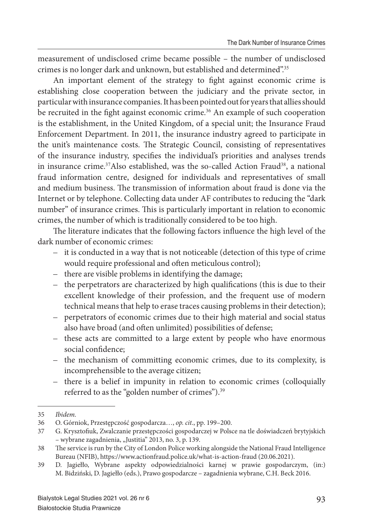measurement of undisclosed crime became possible – the number of undisclosed crimes is no longer dark and unknown, but established and determined".<sup>35</sup>

An important element of the strategy to fight against economic crime is establishing close cooperation between the judiciary and the private sector, in particular with insurance companies. It has been pointed out for years that allies should be recruited in the fight against economic crime.<sup>36</sup> An example of such cooperation is the establishment, in the United Kingdom, of a special unit; the Insurance Fraud Enforcement Department. In 2011, the insurance industry agreed to participate in the unit's maintenance costs. The Strategic Council, consisting of representatives of the insurance industry, specifies the individual's priorities and analyses trends in insurance crime.<sup>37</sup>Also established, was the so-called Action Fraud<sup>38</sup>, a national fraud information centre, designed for individuals and representatives of small and medium business. The transmission of information about fraud is done via the Internet or by telephone. Collecting data under AF contributes to reducing the "dark number" of insurance crimes. This is particularly important in relation to economic crimes, the number of which is traditionally considered to be too high.

The literature indicates that the following factors influence the high level of the dark number of economic crimes:

- it is conducted in a way that is not noticeable (detection of this type of crime would require professional and often meticulous control);
- there are visible problems in identifying the damage;
- the perpetrators are characterized by high qualifications (this is due to their excellent knowledge of their profession, and the frequent use of modern technical means that help to erase traces causing problems in their detection);
- perpetrators of economic crimes due to their high material and social status also have broad (and often unlimited) possibilities of defense;
- these acts are committed to a large extent by people who have enormous social confidence;
- the mechanism of committing economic crimes, due to its complexity, is incomprehensible to the average citizen;
- there is a belief in impunity in relation to economic crimes (colloquially referred to as the "golden number of crimes").<sup>39</sup>

<sup>35</sup> *Ibidem.*

<sup>36</sup> O. Górniok, Przestępczość gospodarcza…, *op. cit*., pp. 199–200.

<sup>37</sup> G. Krysztofiuk, Zwalczanie przestępczości gospodarczej w Polsce na tle doświadczeń brytyjskich – wybrane zagadnienia, "Justitia" 2013, no. 3, p. 139.

<sup>38</sup> The service is run by the City of London Police working alongside the National Fraud Intelligence Bureau (NFIB), https://www.actionfraud.police.uk/what-is-action-fraud (20.06.2021).

<sup>39</sup> D. Jagiełło, Wybrane aspekty odpowiedzialności karnej w prawie gospodarczym, (in:) M. Bidziński, D. Jagiełło (eds.), Prawo gospodarcze – zagadnienia wybrane, C.H. Beck 2016.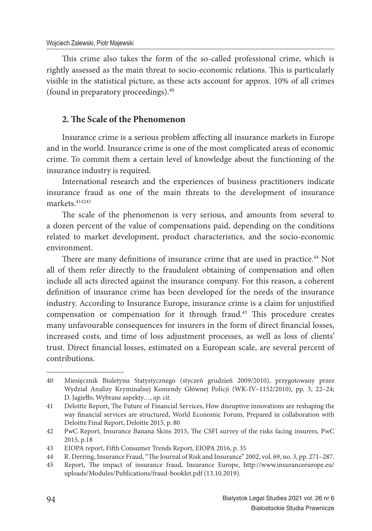This crime also takes the form of the so-called professional crime, which is rightly assessed as the main threat to socio-economic relations. This is particularly visible in the statistical picture, as these acts account for approx. 10% of all crimes (found in preparatory proceedings).<sup>40</sup>

#### **2. The Scale of the Phenomenon**

Insurance crime is a serious problem affecting all insurance markets in Europe and in the world. Insurance crime is one of the most complicated areas of economic crime. To commit them a certain level of knowledge about the functioning of the insurance industry is required.

International research and the experiences of business practitioners indicate insurance fraud as one of the main threats to the development of insurance markets.<sup>414243</sup>

The scale of the phenomenon is very serious, and amounts from several to a dozen percent of the value of compensations paid, depending on the conditions related to market development, product characteristics, and the socio-economic environment.

There are many definitions of insurance crime that are used in practice.<sup>44</sup> Not all of them refer directly to the fraudulent obtaining of compensation and often include all acts directed against the insurance company. For this reason, a coherent definition of insurance crime has been developed for the needs of the insurance industry. According to Insurance Europe, insurance crime is a claim for unjustified compensation or compensation for it through fraud.<sup>45</sup> This procedure creates many unfavourable consequences for insurers in the form of direct financial losses, increased costs, and time of loss adjustment processes, as well as loss of clients' trust. Direct financial losses, estimated on a European scale, are several percent of contributions.

<sup>40</sup> Miesięcznik Biuletynu Statystycznego (styczeń grudzień 2009/2010), przygotowany przez Wydział Analizy Kryminalnej Komendy Głównej Policji (WK-IV–1152/2010), pp. 3, 22–24; D. Jagiełło, Wybrane aspekty…, *op. cit.*

<sup>41</sup> Deloitte Report, The Future of Financial Services, How disruptive innovations are reshaping the way financial services are structured, World Economic Forum, Prepared in collaboration with Deloitte Final Report, Deloitte 2015, p. 80

<sup>42</sup> PwC Report, Insurance Banana Skins 2015, The CSFI survey of the risks facing insurers, PwC 2015, p.18

<sup>43</sup> EIOPA report, Fifth Consumer Trends Report, EIOPA 2016, p. 35

<sup>44</sup> R. Derring, Insurance Fraud, "The Journal of Risk and Insurance" 2002, vol. 69, no. 3, pp. 271-287.

<sup>45</sup> Report, The impact of insurance fraud, Insurance Europe, http://www.insuranceeurope.eu/ uploads/Modules/Publications/fraud-booklet.pdf (13.10.2019).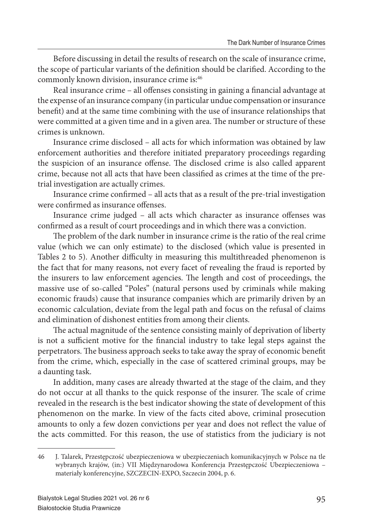Before discussing in detail the results of research on the scale of insurance crime, the scope of particular variants of the definition should be clarified. According to the commonly known division, insurance crime is:<sup>46</sup>

Real insurance crime - all offenses consisting in gaining a financial advantage at the expense of an insurance company (in particular undue compensation or insurance benefit) and at the same time combining with the use of insurance relationships that were committed at a given time and in a given area. The number or structure of these crimes is unknown.

Insurance crime disclosed – all acts for which information was obtained by law enforcement authorities and therefore initiated preparatory proceedings regarding the suspicion of an insurance offense. The disclosed crime is also called apparent crime, because not all acts that have been classified as crimes at the time of the pretrial investigation are actually crimes.

Insurance crime confirmed – all acts that as a result of the pre-trial investigation were confirmed as insurance offenses.

Insurance crime judged - all acts which character as insurance offenses was confirmed as a result of court proceedings and in which there was a conviction.

The problem of the dark number in insurance crime is the ratio of the real crime value (which we can only estimate) to the disclosed (which value is presented in Tables 2 to 5). Another difficulty in measuring this multithreaded phenomenon is the fact that for many reasons, not every facet of revealing the fraud is reported by the insurers to law enforcement agencies. The length and cost of proceedings, the massive use of so-called "Poles" (natural persons used by criminals while making economic frauds) cause that insurance companies which are primarily driven by an economic calculation, deviate from the legal path and focus on the refusal of claims and elimination of dishonest entities from among their clients.

The actual magnitude of the sentence consisting mainly of deprivation of liberty is not a sufficient motive for the financial industry to take legal steps against the perpetrators. The business approach seeks to take away the spray of economic benefit from the crime, which, especially in the case of scattered criminal groups, may be a daunting task.

In addition, many cases are already thwarted at the stage of the claim, and they do not occur at all thanks to the quick response of the insurer. The scale of crime revealed in the research is the best indicator showing the state of development of this phenomenon on the marke. In view of the facts cited above, criminal prosecution amounts to only a few dozen convictions per year and does not reflect the value of the acts committed. For this reason, the use of statistics from the judiciary is not

<sup>46</sup> J. Talarek, Przestępczość ubezpieczeniowa w ubezpieczeniach komunikacyjnych w Polsce na tle wybranych krajów, (in:) VII Międzynarodowa Konferencja Przestępczość Ubezpieczeniowa – materiały konferencyjne, SZCZECIN-EXPO, Szczecin 2004, p. 6.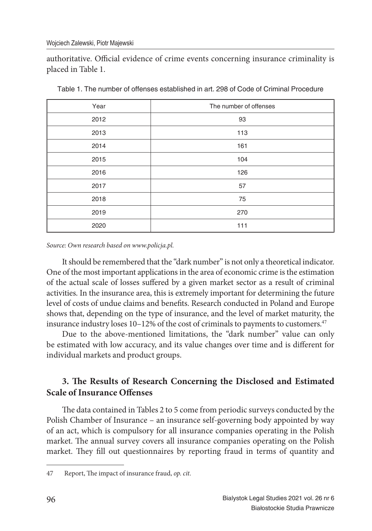authoritative. Official evidence of crime events concerning insurance criminality is placed in Table 1.

| Year | The number of offenses |  |
|------|------------------------|--|
| 2012 | 93                     |  |
| 2013 | 113                    |  |
| 2014 | 161                    |  |
| 2015 | 104                    |  |
| 2016 | 126                    |  |
| 2017 | 57                     |  |
| 2018 | 75                     |  |
| 2019 | 270                    |  |
| 2020 | 111                    |  |

Table 1. The number of offenses established in art. 298 of Code of Criminal Procedure

*Source: Own research based on www.policja.pl.*

It should be remembered that the "dark number" is not only a theoretical indicator. One of the most important applications in the area of economic crime is the estimation of the actual scale of losses suffered by a given market sector as a result of criminal activities. In the insurance area, this is extremely important for determining the future level of costs of undue claims and benefits. Research conducted in Poland and Europe shows that, depending on the type of insurance, and the level of market maturity, the insurance industry loses 10–12% of the cost of criminals to payments to customers.<sup>47</sup>

Due to the above-mentioned limitations, the "dark number" value can only be estimated with low accuracy, and its value changes over time and is different for individual markets and product groups.

# **3. The Results of Research Concerning the Disclosed and Estimated Scale of Insurance Offenses**

The data contained in Tables 2 to 5 come from periodic surveys conducted by the Polish Chamber of Insurance – an insurance self-governing body appointed by way of an act, which is compulsory for all insurance companies operating in the Polish market. The annual survey covers all insurance companies operating on the Polish market. They fill out questionnaires by reporting fraud in terms of quantity and

<sup>47</sup> Report, The impact of insurance fraud, *op. cit.*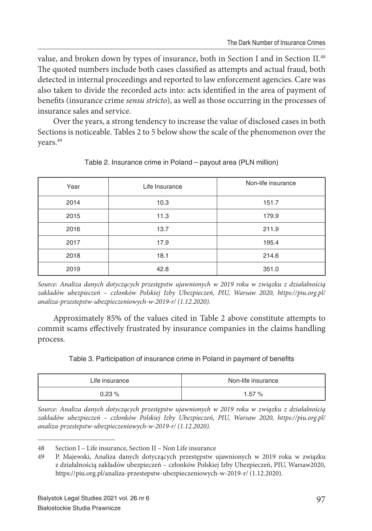value, and broken down by types of insurance, both in Section I and in Section II.<sup>48</sup> The quoted numbers include both cases classified as attempts and actual fraud, both detected in internal proceedings and reported to law enforcement agencies. Care was also taken to divide the recorded acts into: acts identified in the area of payment of benefits (insurance crime *sensu stricto*), as well as those occurring in the processes of insurance sales and service.

Over the years, a strong tendency to increase the value of disclosed cases in both Sections is noticeable. Tables 2 to 5 below show the scale of the phenomenon over the years.<sup>49</sup>

| Year | Life Insurance | Non-life insurance |
|------|----------------|--------------------|
| 2014 | 10.3           | 151.7              |
| 2015 | 11.3           | 179.9              |
| 2016 | 13.7           | 211.9              |
| 2017 | 17.9           | 195.4              |
| 2018 | 18.1           | 214.6              |
| 2019 | 42.8           | 351.0              |

Table 2. Insurance crime in Poland – payout area (PLN million)

*Source: Analiza danych dotyczących przestępstw ujawnionych w 2019 roku w związku z działalnością zakładów ubezpieczeń – członków Polskiej Izby Ubezpieczeń, PIU, Warsaw 2020, https://piu.org.pl/ analiza-przestepstw-ubezpieczeniowych-w-2019-r/ (1.12.2020).*

Approximately 85% of the values cited in Table 2 above constitute attempts to commit scams effectively frustrated by insurance companies in the claims handling process.

Table 3. Participation of insurance crime in Poland in payment of benefits

| Life insurance | Non-life insurance |
|----------------|--------------------|
| $0.23 \%$      | 1.57%              |

*Source: Analiza danych dotyczących przestępstw ujawnionych w 2019 roku w związku z działalnością zakładów ubezpieczeń – członków Polskiej Izby Ubezpieczeń, PIU, Warsaw 2020, https://piu.org.pl/ analiza-przestepstw-ubezpieczeniowych-w-2019-r/ (1.12.2020).*

<sup>48</sup> Section I – Life insurance, Section II – Non Life insurance

<sup>49</sup> P. Majewski, Analiza danych dotyczących przestępstw ujawnionych w 2019 roku w związku z działalnością zakładów ubezpieczeń – członków Polskiej Izby Ubezpieczeń, PIU, Warsaw2020, https://piu.org.pl/analiza-przestepstw-ubezpieczeniowych-w-2019-r/ (1.12.2020).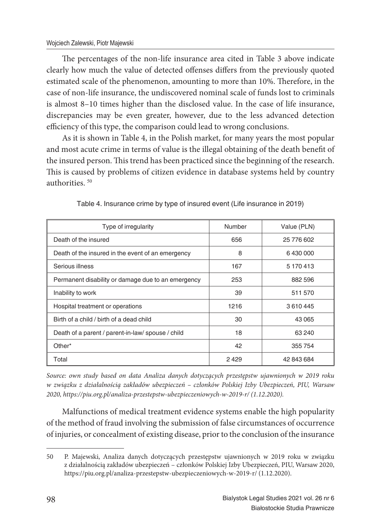The percentages of the non-life insurance area cited in Table 3 above indicate clearly how much the value of detected offenses differs from the previously quoted estimated scale of the phenomenon, amounting to more than 10%. Therefore, in the case of non-life insurance, the undiscovered nominal scale of funds lost to criminals is almost 8–10 times higher than the disclosed value. In the case of life insurance, discrepancies may be even greater, however, due to the less advanced detection efficiency of this type, the comparison could lead to wrong conclusions.

As it is shown in Table 4, in the Polish market, for many years the most popular and most acute crime in terms of value is the illegal obtaining of the death benefi t of the insured person. This trend has been practiced since the beginning of the research. This is caused by problems of citizen evidence in database systems held by country authorities. <sup>50</sup>

| Type of irregularity                               | Number | Value (PLN) |
|----------------------------------------------------|--------|-------------|
| Death of the insured                               | 656    | 25 776 602  |
| Death of the insured in the event of an emergency  | 8      | 6430000     |
| Serious illness                                    | 167    | 5 170 413   |
| Permanent disability or damage due to an emergency | 253    | 882 596     |
| Inability to work                                  | 39     | 511 570     |
| Hospital treatment or operations                   | 1216   | 3610445     |
| Birth of a child / birth of a dead child           | 30     | 43 065      |
| Death of a parent / parent-in-law/ spouse / child  | 18     | 63 240      |
| Other*                                             | 42     | 355 754     |
| Total                                              | 2429   | 42 843 684  |

| Table 4. Insurance crime by type of insured event (Life insurance in 2019) |  |
|----------------------------------------------------------------------------|--|
|----------------------------------------------------------------------------|--|

*Source: own study based on data Analiza danych dotyczących przestępstw ujawnionych w 2019 roku w związku z działalnością zakładów ubezpieczeń – członków Polskiej Izby Ubezpieczeń, PIU, Warsaw 2020, https://piu.org.pl/analiza-przestepstw-ubezpieczeniowych-w-2019-r/ (1.12.2020).*

Malfunctions of medical treatment evidence systems enable the high popularity of the method of fraud involving the submission of false circumstances of occurrence of injuries, or concealment of existing disease, prior to the conclusion of the insurance

<sup>50</sup> P. Majewski, Analiza danych dotyczących przestępstw ujawnionych w 2019 roku w związku z działalnością zakładów ubezpieczeń – członków Polskiej Izby Ubezpieczeń, PIU, Warsaw 2020, https://piu.org.pl/analiza-przestepstw-ubezpieczeniowych-w-2019-r/ (1.12.2020).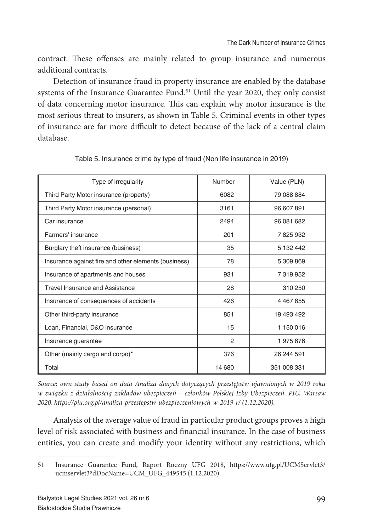contract. These offenses are mainly related to group insurance and numerous additional contracts.

Detection of insurance fraud in property insurance are enabled by the database systems of the Insurance Guarantee Fund.<sup>51</sup> Until the year 2020, they only consist of data concerning motor insurance. This can explain why motor insurance is the most serious threat to insurers, as shown in Table 5. Criminal events in other types of insurance are far more difficult to detect because of the lack of a central claim database.

| Type of irregularity                                 | Number         | Value (PLN)   |  |
|------------------------------------------------------|----------------|---------------|--|
| Third Party Motor insurance (property)               | 6082           | 79 088 884    |  |
| Third Party Motor insurance (personal)               | 3161           | 96 607 891    |  |
| Car insurance                                        | 2494           | 96 081 682    |  |
| Farmers' insurance                                   | 201            | 7825932       |  |
| Burglary theft insurance (business)                  | 35             | 5 132 442     |  |
| Insurance against fire and other elements (business) | 78             | 5 309 869     |  |
| Insurance of apartments and houses                   | 931            | 7319952       |  |
| <b>Travel Insurance and Assistance</b>               | 28             | 310 250       |  |
| Insurance of consequences of accidents               | 426            | 4 4 6 7 6 5 5 |  |
| Other third-party insurance                          | 851            | 19 493 492    |  |
| Loan, Financial, D&O insurance                       | 15             | 1150016       |  |
| Insurance guarantee                                  | $\overline{c}$ | 1975676       |  |
| Other (mainly cargo and corpo)*                      | 376            | 26 244 591    |  |
| Total                                                | 14 680         | 351 008 331   |  |

Table 5. Insurance crime by type of fraud (Non life insurance in 2019)

*Source: own study based on data Analiza danych dotyczących przestępstw ujawnionych w 2019 roku w związku z działalnością zakładów ubezpieczeń – członków Polskiej Izby Ubezpieczeń, PIU, Warsaw 2020, https://piu.org.pl/analiza-przestepstw-ubezpieczeniowych-w-2019-r/ (1.12.2020).*

Analysis of the average value of fraud in particular product groups proves a high level of risk associated with business and financial insurance. In the case of business entities, you can create and modify your identity without any restrictions, which

<sup>51</sup> Insurance Guarantee Fund, Raport Roczny UFG 2018, https://www.ufg.pl/UCMServlet3/ ucmservlet3?dDocName=UCM\_UFG\_449545 (1.12.2020).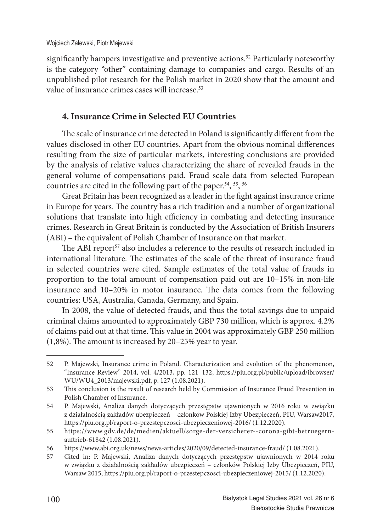significantly hampers investigative and preventive actions.<sup>52</sup> Particularly noteworthy is the category "other" containing damage to companies and cargo. Results of an unpublished pilot research for the Polish market in 2020 show that the amount and value of insurance crimes cases will increase.<sup>53</sup>

### **4. Insurance Crime in Selected EU Countries**

The scale of insurance crime detected in Poland is significantly different from the values disclosed in other EU countries. Apart from the obvious nominal differences resulting from the size of particular markets, interesting conclusions are provided by the analysis of relative values characterizing the share of revealed frauds in the general volume of compensations paid. Fraud scale data from selected European countries are cited in the following part of the paper.<sup>54</sup>, <sup>55</sup>, <sup>56</sup>

Great Britain has been recognized as a leader in the fight against insurance crime in Europe for years. The country has a rich tradition and a number of organizational solutions that translate into high efficiency in combating and detecting insurance crimes. Research in Great Britain is conducted by the Association of British Insurers (ABI) – the equivalent of Polish Chamber of Insurance on that market.

The ABI report<sup>57</sup> also includes a reference to the results of research included in international literature. The estimates of the scale of the threat of insurance fraud in selected countries were cited. Sample estimates of the total value of frauds in proportion to the total amount of compensation paid out are 10–15% in non-life insurance and  $10-20%$  in motor insurance. The data comes from the following countries: USA, Australia, Canada, Germany, and Spain.

In 2008, the value of detected frauds, and thus the total savings due to unpaid criminal claims amounted to approximately GBP 730 million, which is approx. 4.2% of claims paid out at that time. This value in 2004 was approximately GBP 250 million  $(1,8\%)$ . The amount is increased by 20–25% year to year.

<sup>52</sup> P. Majewski, Insurance crime in Poland. Characterization and evolution of the phenomenon, "Insurance Review" 2014, vol. 4/2013, pp. 121–132, https://piu.org.pl/public/upload/ibrowser/ WU/WU4\_2013/majewski.pdf, p. 127 (1.08.2021).

<sup>53</sup> This conclusion is the result of research held by Commission of Insurance Fraud Prevention in Polish Chamber of Insurance.

<sup>54</sup> P. Majewski, Analiza danych dotyczących przestępstw ujawnionych w 2016 roku w związku z działalnością zakładów ubezpieczeń – członków Polskiej Izby Ubezpieczeń, PIU, Warsaw2017, https://piu.org.pl/raport-o-przestepczosci-ubezpieczeniowej-2016/ (1.12.2020).

<sup>55</sup> https://www.gdv.de/de/medien/aktuell/sorge-der-versicherer--corona-gibt-betruegernauft rieb-61842 (1.08.2021).

<sup>56</sup> https://www.abi.org.uk/news/news-articles/2020/09/detected-insurance-fraud/ (1.08.2021).

<sup>57</sup> Cited in: P. Majewski, Analiza danych dotyczących przestępstw ujawnionych w 2014 roku w związku z działalnością zakładów ubezpieczeń – członków Polskiej Izby Ubezpieczeń, PIU, Warsaw 2015, https://piu.org.pl/raport-o-przestepczosci-ubezpieczeniowej-2015/ (1.12.2020).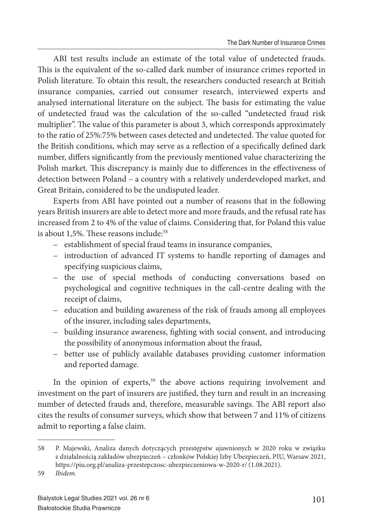ABI test results include an estimate of the total value of undetected frauds. This is the equivalent of the so-called dark number of insurance crimes reported in Polish literature. To obtain this result, the researchers conducted research at British insurance companies, carried out consumer research, interviewed experts and analysed international literature on the subject. The basis for estimating the value of undetected fraud was the calculation of the so-called "undetected fraud risk multiplier". The value of this parameter is about 3, which corresponds approximately to the ratio of 25%:75% between cases detected and undetected. The value quoted for the British conditions, which may serve as a reflection of a specifically defined dark number, differs significantly from the previously mentioned value characterizing the Polish market. This discrepancy is mainly due to differences in the effectiveness of detection between Poland – a country with a relatively underdeveloped market, and Great Britain, considered to be the undisputed leader.

Experts from ABI have pointed out a number of reasons that in the following years British insurers are able to detect more and more frauds, and the refusal rate has increased from 2 to 4% of the value of claims. Considering that, for Poland this value is about 1,5%. These reasons include: $58$ 

- establishment of special fraud teams in insurance companies,
- introduction of advanced IT systems to handle reporting of damages and specifying suspicious claims,
- the use of special methods of conducting conversations based on psychological and cognitive techniques in the call-centre dealing with the receipt of claims,
- education and building awareness of the risk of frauds among all employees of the insurer, including sales departments,
- building insurance awareness, fighting with social consent, and introducing the possibility of anonymous information about the fraud,
- better use of publicly available databases providing customer information and reported damage.

In the opinion of experts, $59$  the above actions requiring involvement and investment on the part of insurers are justified, they turn and result in an increasing number of detected frauds and, therefore, measurable savings. The ABI report also cites the results of consumer surveys, which show that between 7 and 11% of citizens admit to reporting a false claim.

<sup>58</sup> P. Majewski, Analiza danych dotyczących przestępstw ujawnionych w 2020 roku w związku z działalnością zakładów ubezpieczeń – członków Polskiej Izby Ubezpieczeń, PIU, Warsaw 2021, https://piu.org.pl/analiza-przestepczosc-ubezpieczeniowa-w-2020-r/ (1.08.2021).

<sup>59</sup> *Ibidem.*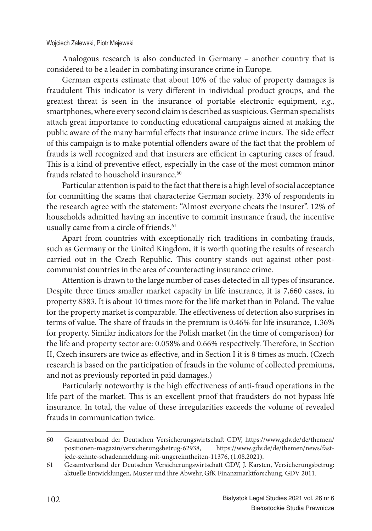Analogous research is also conducted in Germany – another country that is considered to be a leader in combating insurance crime in Europe.

German experts estimate that about 10% of the value of property damages is fraudulent This indicator is very different in individual product groups, and the greatest threat is seen in the insurance of portable electronic equipment, *e.g*., smartphones, where every second claim is described as suspicious. German specialists attach great importance to conducting educational campaigns aimed at making the public aware of the many harmful effects that insurance crime incurs. The side effect of this campaign is to make potential offenders aware of the fact that the problem of frauds is well recognized and that insurers are efficient in capturing cases of fraud. This is a kind of preventive effect, especially in the case of the most common minor frauds related to household insurance.<sup>60</sup>

Particular attention is paid to the fact that there is a high level of social acceptance for committing the scams that characterize German society. 23% of respondents in the research agree with the statement: "Almost everyone cheats the insurer". 12% of households admitted having an incentive to commit insurance fraud, the incentive usually came from a circle of friends.<sup>61</sup>

Apart from countries with exceptionally rich traditions in combating frauds, such as Germany or the United Kingdom, it is worth quoting the results of research carried out in the Czech Republic. This country stands out against other postcommunist countries in the area of counteracting insurance crime.

Attention is drawn to the large number of cases detected in all types of insurance. Despite three times smaller market capacity in life insurance, it is 7,660 cases, in property 8383. It is about 10 times more for the life market than in Poland. The value for the property market is comparable. The effectiveness of detection also surprises in terms of value. The share of frauds in the premium is 0.46% for life insurance, 1.36% for property. Similar indicators for the Polish market (in the time of comparison) for the life and property sector are: 0.058% and 0.66% respectively. Therefore, in Section II, Czech insurers are twice as effective, and in Section I it is 8 times as much. (Czech research is based on the participation of frauds in the volume of collected premiums, and not as previously reported in paid damages.)

Particularly noteworthy is the high effectiveness of anti-fraud operations in the life part of the market. This is an excellent proof that fraudsters do not bypass life insurance. In total, the value of these irregularities exceeds the volume of revealed frauds in communication twice.

<sup>60</sup> Gesamtverband der Deutschen Versicherungswirtschaft GDV, https://www.gdv.de/de/themen/ positionen-magazin/versicherungsbetrug-62938, https://www.gdv.de/de/themen/news/fastjede-zehnte-schadenmeldung-mit-ungereimtheiten-11376, (1.08.2021).

<sup>61</sup> Gesamtverband der Deutschen Versicherungswirtschaft GDV, J. Karsten, Versicherungsbetrug: aktuelle Entwicklungen, Muster und ihre Abwehr, GfK Finanzmarktforschung. GDV 2011.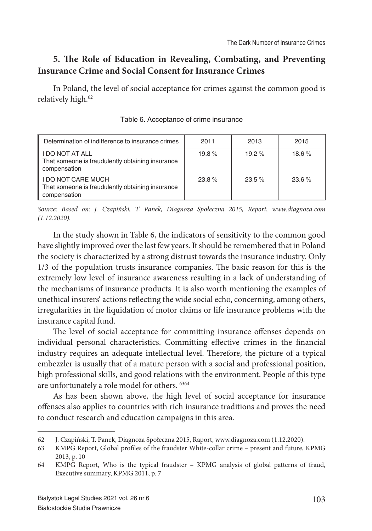## **5. The Role of Education in Revealing, Combating, and Preventing Insurance Crime and Social Consent for Insurance Crimes**

In Poland, the level of social acceptance for crimes against the common good is relatively high.<sup>62</sup>

| Determination of indifference to insurance crimes                                             | 2011  | 2013     | 2015     |
|-----------------------------------------------------------------------------------------------|-------|----------|----------|
| <b>I DO NOT AT ALL</b><br>That someone is fraudulently obtaining insurance<br>compensation    | 19.8% | $19.2\%$ | $18.6\%$ |
| <b>I DO NOT CARE MUCH</b><br>That someone is fraudulently obtaining insurance<br>compensation | 23.8% | $23.5\%$ | $23.6\%$ |

Table 6. Acceptance of crime insurance

*Source: Based on: J. Czapiński, T. Panek, Diagnoza Społeczna 2015, Report, www.diagnoza.com (1.12.2020).*

In the study shown in Table 6, the indicators of sensitivity to the common good have slightly improved over the last few years. It should be remembered that in Poland the society is characterized by a strong distrust towards the insurance industry. Only 1/3 of the population trusts insurance companies. The basic reason for this is the extremely low level of insurance awareness resulting in a lack of understanding of the mechanisms of insurance products. It is also worth mentioning the examples of unethical insurers' actions reflecting the wide social echo, concerning, among others, irregularities in the liquidation of motor claims or life insurance problems with the insurance capital fund.

The level of social acceptance for committing insurance offenses depends on individual personal characteristics. Committing effective crimes in the financial industry requires an adequate intellectual level. Therefore, the picture of a typical embezzler is usually that of a mature person with a social and professional position, high professional skills, and good relations with the environment. People of this type are unfortunately a role model for others. <sup>6364</sup>

As has been shown above, the high level of social acceptance for insurance offenses also applies to countries with rich insurance traditions and proves the need to conduct research and education campaigns in this area.

<sup>62</sup> J. Czapiński, T. Panek, Diagnoza Społeczna 2015, Raport, www.diagnoza.com (1.12.2020).

<sup>63</sup> KMPG Report, Global profiles of the fraudster White-collar crime – present and future, KPMG 2013, p. 10

<sup>64</sup> KMPG Report, Who is the typical fraudster – KPMG analysis of global patterns of fraud, Executive summary, KPMG 2011, p. 7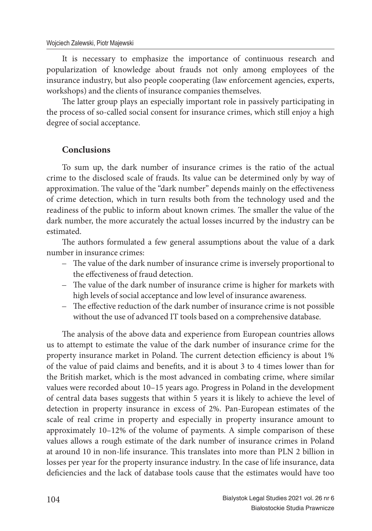It is necessary to emphasize the importance of continuous research and popularization of knowledge about frauds not only among employees of the insurance industry, but also people cooperating (law enforcement agencies, experts, workshops) and the clients of insurance companies themselves.

The latter group plays an especially important role in passively participating in the process of so-called social consent for insurance crimes, which still enjoy a high degree of social acceptance.

### **Conclusions**

To sum up, the dark number of insurance crimes is the ratio of the actual crime to the disclosed scale of frauds. Its value can be determined only by way of approximation. The value of the "dark number" depends mainly on the effectiveness of crime detection, which in turn results both from the technology used and the readiness of the public to inform about known crimes. The smaller the value of the dark number, the more accurately the actual losses incurred by the industry can be estimated.

The authors formulated a few general assumptions about the value of a dark number in insurance crimes:

- The value of the dark number of insurance crime is inversely proportional to the effectiveness of fraud detection.
- The value of the dark number of insurance crime is higher for markets with high levels of social acceptance and low level of insurance awareness.
- $-$  The effective reduction of the dark number of insurance crime is not possible without the use of advanced IT tools based on a comprehensive database.

The analysis of the above data and experience from European countries allows us to attempt to estimate the value of the dark number of insurance crime for the property insurance market in Poland. The current detection efficiency is about 1% of the value of paid claims and benefits, and it is about 3 to 4 times lower than for the British market, which is the most advanced in combating crime, where similar values were recorded about 10–15 years ago. Progress in Poland in the development of central data bases suggests that within 5 years it is likely to achieve the level of detection in property insurance in excess of 2%. Pan-European estimates of the scale of real crime in property and especially in property insurance amount to approximately 10–12% of the volume of payments. A simple comparison of these values allows a rough estimate of the dark number of insurance crimes in Poland at around 10 in non-life insurance. This translates into more than PLN 2 billion in losses per year for the property insurance industry. In the case of life insurance, data deficiencies and the lack of database tools cause that the estimates would have too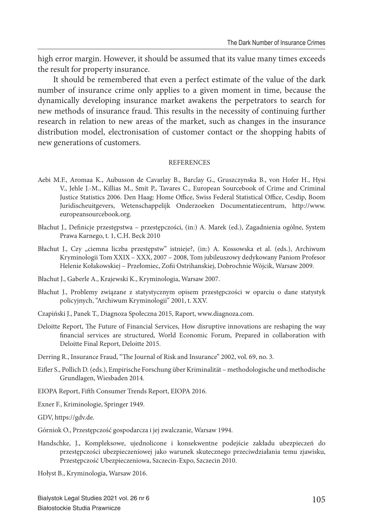high error margin. However, it should be assumed that its value many times exceeds the result for property insurance.

It should be remembered that even a perfect estimate of the value of the dark number of insurance crime only applies to a given moment in time, because the dynamically developing insurance market awakens the perpetrators to search for new methods of insurance fraud. This results in the necessity of continuing further research in relation to new areas of the market, such as changes in the insurance distribution model, electronisation of customer contact or the shopping habits of new generations of customers.

#### REFERENCES

- Aebi M.F., Aromaa K., Aubusson de Cavarlay B., Barclay G., Gruszczynska B., von Hofer H., Hysi V., Jehle J.-M., Killias M., Smit P., Tavares C., European Sourcebook of Crime and Criminal Justice Statistics 2006. Den Haag: Home Office, Swiss Federal Statistical Office, Cesdip, Boom Juridischeuitgevers, Wetenschappelijk Onderzoeken Documentatiecentrum, http://www. europeansourcebook.org.
- Błachut J., Definicje przestępstwa przestępczości, (in:) A. Marek (ed.), Zagadnienia ogólne, System Prawa Karnego, t. 1, C.H. Beck 2010
- Błachut J., Czy "ciemna liczba przestępstw" istnieje?, (in:) A. Kossowska et al. (eds.), Archiwum Kryminologii Tom XXIX – XXX, 2007 – 2008, Tom jubileuszowy dedykowany Paniom Profesor Helenie Kołakowskiej – Przełomiec, Zofi i Ostrihanskiej, Dobrochnie Wójcik, Warsaw 2009.
- Błachut J., Gaberle A., Krajewski K., Kryminologia, Warsaw 2007.
- Błachut J., Problemy związane z statystycznym opisem przestępczości w oparciu o dane statystyk policyjnych, "Archiwum Kryminologii" 2001, t. XXV.
- Czapiński J., Panek T., Diagnoza Społeczna 2015, Raport, www.diagnoza.com.
- Deloitte Report, The Future of Financial Services, How disruptive innovations are reshaping the way financial services are structured, World Economic Forum, Prepared in collaboration with Deloitte Final Report, Deloitte 2015.
- Derring R., Insurance Fraud, "The Journal of Risk and Insurance" 2002, vol. 69, no. 3.
- Eifler S., Pollich D. (eds.), Empirische Forschung über Kriminalität methodologische und methodische Grundlagen, Wiesbaden 2014.
- EIOPA Report, Fifth Consumer Trends Report, EIOPA 2016.
- Exner F., Kriminologie, Springer 1949.
- GDV, https://gdv.de.
- Górniok O., Przestępczość gospodarcza i jej zwalczanie, Warsaw 1994.
- Handschke, J., Kompleksowe, ujednolicone i konsekwentne podejście zakładu ubezpieczeń do przestępczości ubezpieczeniowej jako warunek skutecznego przeciwdziałania temu zjawisku, Przestępczość Ubezpieczeniowa, Szczecin-Expo, Szczecin 2010.

Hołyst B., Kryminologia, Warsaw 2016.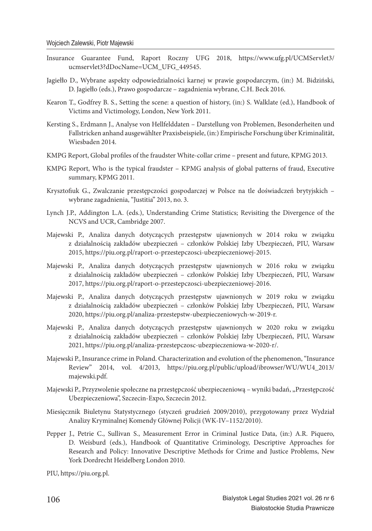- Insurance Guarantee Fund, Raport Roczny UFG 2018, https://www.ufg.pl/UCMServlet3/ ucmservlet3?dDocName=UCM\_UFG\_449545.
- Jagiełło D., Wybrane aspekty odpowiedzialności karnej w prawie gospodarczym, (in:) M. Bidziński, D. Jagiełło (eds.), Prawo gospodarcze – zagadnienia wybrane, C.H. Beck 2016.
- Kearon T., Godfrey B. S., Setting the scene: a question of history, (in:) S. Walklate (ed.), Handbook of Victims and Victimology, London, New York 2011.
- Kersting S., Erdmann J., Analyse von Hellfelddaten Darstellung von Problemen, Besonderheiten und Fallstricken anhand ausgewählter Praxisbeispiele, (in:) Empirische Forschung über Kriminalität, Wiesbaden 2014.
- KMPG Report, Global profiles of the fraudster White-collar crime present and future, KPMG 2013.
- KMPG Report, Who is the typical fraudster KPMG analysis of global patterns of fraud, Executive summary, KPMG 2011.
- Krysztofiuk G., Zwalczanie przestępczości gospodarczej w Polsce na tle doświadczeń brytyjskich wybrane zagadnienia, "Justitia" 2013, no. 3.
- Lynch J.P., Addington L.A. (eds.), Understanding Crime Statistics; Revisiting the Divergence of the NCVS and UCR, Cambridge 2007.
- Majewski P., Analiza danych dotyczących przestępstw ujawnionych w 2014 roku w związku z działalnością zakładów ubezpieczeń – członków Polskiej Izby Ubezpieczeń, PIU, Warsaw 2015, https://piu.org.pl/raport-o-przestepczosci-ubezpieczeniowej-2015.
- Majewski P., Analiza danych dotyczących przestępstw ujawnionych w 2016 roku w związku z działalnością zakładów ubezpieczeń – członków Polskiej Izby Ubezpieczeń, PIU, Warsaw 2017, https://piu.org.pl/raport-o-przestepczosci-ubezpieczeniowej-2016.
- Majewski P., Analiza danych dotyczących przestępstw ujawnionych w 2019 roku w związku z działalnością zakładów ubezpieczeń – członków Polskiej Izby Ubezpieczeń, PIU, Warsaw 2020, https://piu.org.pl/analiza-przestepstw-ubezpieczeniowych-w-2019-r.
- Majewski P., Analiza danych dotyczących przestępstw ujawnionych w 2020 roku w związku z działalnością zakładów ubezpieczeń – członków Polskiej Izby Ubezpieczeń, PIU, Warsaw 2021, https://piu.org.pl/analiza-przestepczosc-ubezpieczeniowa-w-2020-r/.
- Majewski P., Insurance crime in Poland. Characterization and evolution of the phenomenon, "Insurance Review" 2014, vol. 4/2013, https://piu.org.pl/public/upload/ibrowser/WU/WU4\_2013/ majewski.pdf.
- Majewski P., Przyzwolenie społeczne na przestępczość ubezpieczeniową wyniki badań, "Przestępczość Ubezpieczeniowa", Szczecin-Expo, Szczecin 2012.
- Miesięcznik Biuletynu Statystycznego (styczeń grudzień 2009/2010), przygotowany przez Wydział Analizy Kryminalnej Komendy Głównej Policji (WK-IV–1152/2010).
- Pepper J., Petrie C., Sullivan S., Measurement Error in Criminal Justice Data, (in:) A.R. Piquero, D. Weisburd (eds.), Handbook of Quantitative Criminology, Descriptive Approaches for Research and Policy: Innovative Descriptive Methods for Crime and Justice Problems, New York Dordrecht Heidelberg London 2010.

PIU, https://piu.org.pl.